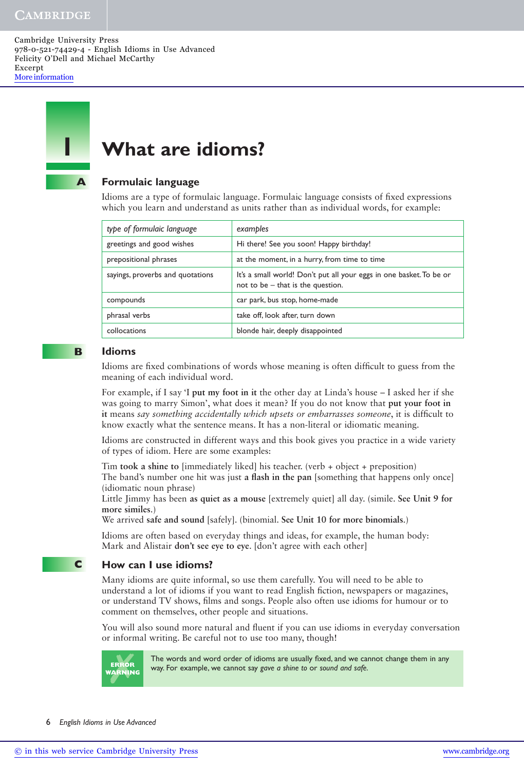# **1 A**

# **What are idioms?**

# **Formulaic language**

Idioms are a type of formulaic language. Formulaic language consists of fixed expressions which you learn and understand as units rather than as individual words, for example:

| type of formulaic language       | examples                                                                                                   |  |
|----------------------------------|------------------------------------------------------------------------------------------------------------|--|
| greetings and good wishes        | Hi there! See you soon! Happy birthday!                                                                    |  |
| prepositional phrases            | at the moment, in a hurry, from time to time                                                               |  |
| sayings, proverbs and quotations | It's a small world! Don't put all your eggs in one basket. To be or<br>not to be $-$ that is the question. |  |
| compounds                        | car park, bus stop, home-made                                                                              |  |
| phrasal verbs                    | take off, look after, turn down                                                                            |  |
| collocations                     | blonde hair, deeply disappointed                                                                           |  |

### **B**

### **Idioms**

Idioms are fixed combinations of words whose meaning is often difficult to guess from the meaning of each individual word.

For example, if I say 'I **put my foot in it** the other day at Linda's house – I asked her if she was going to marry Simon', what does it mean? If you do not know that **put your foot in**  it means say something accidentally which upsets or embarrasses someone, it is difficult to know exactly what the sentence means. It has a non-literal or idiomatic meaning.

Idioms are constructed in different ways and this book gives you practice in a wide variety of types of idiom. Here are some examples:

Tim **took a shine to** [immediately liked] his teacher. (verb + object + preposition) The band's number one hit was just **a flash in the pan** [something that happens only once] (idiomatic noun phrase)

Little Jimmy has been **as quiet as a mouse** [extremely quiet] all day. (simile. **See Unit 9 for more similes**.)

We arrived **safe and sound** [safely]. (binomial. **See Unit 10 for more binomials**.)

Idioms are often based on everyday things and ideas, for example, the human body: Mark and Alistair **don't see eye to eye**. [don't agree with each other]

### **How can I use idioms? C**

Many idioms are quite informal, so use them carefully. You will need to be able to understand a lot of idioms if you want to read English fiction, newspapers or magazines, or understand TV shows, films and songs. People also often use idioms for humour or to comment on themselves, other people and situations.

You will also sound more natural and fluent if you can use idioms in everyday conversation or informal writing. Be careful not to use too many, though!



The words and word order of idioms are usually fixed, and we cannot change them in any way. For example, we cannot say *gave a shine to* or *sound and safe*.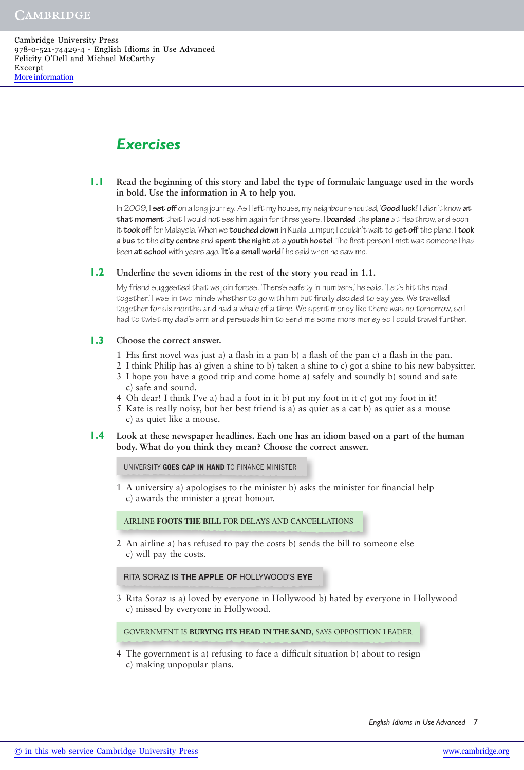# *Exercises*

**1.1 Read the beginning of this story and label the type of formulaic language used in the words in bold. Use the information in A to help you.** 

In 2009, I **set off** on a long journey. As I left my house, my neighbour shouted, '**Good luck**!' I didn't know **at that moment** that I would not see him again for three years. I **boarded** the **plane** at Heathrow, and soon it **took off** for Malaysia. When we **touched down** in Kuala Lumpur, I couldn't wait to **get off** the plane. I **took a bus** to the **city centre** and **spent the night** at a **youth hostel**. The fi rst person I met was someone I had been **at school** with years ago. '**It's a small world**!' he said when he saw me.

### **1.2 Underline the seven idioms in the rest of the story you read in 1.1.**

My friend suggested that we join forces. 'There's safety in numbers,' he said. 'Let's hit the road together.' I was in two minds whether to go with him but finally decided to say yes. We travelled together for six months and had a whale of a time. We spent money like there was no tomorrow, so I had to twist my dad's arm and persuade him to send me some more money so I could travel further.

### **1.3 Choose the correct answer.**

- 1 His first novel was just a) a flash in a pan b) a flash of the pan c) a flash in the pan.
- 2 I think Philip has a) given a shine to b) taken a shine to c) got a shine to his new babysitter.
- 3 I hope you have a good trip and come home a) safely and soundly b) sound and safe c) safe and sound.
- 4 Oh dear! I think I've a) had a foot in it b) put my foot in it c) got my foot in it!
- 5 Kate is really noisy, but her best friend is a) as quiet as a cat b) as quiet as a mouse c) as quiet like a mouse.
- **1.4 Look at these newspaper headlines. Each one has an idiom based on a part of the human body. What do you think they mean? Choose the correct answer.**

UNIVERSITY **GOES CAP IN HAND** TO FINANCE MINISTER

1 A university a) apologises to the minister b) asks the minister for financial help c) awards the minister a great honour.

AIRLINE **FOOTS THE BILL** FOR DELAYS AND CANCELLATIONS

2 An airline a) has refused to pay the costs b) sends the bill to someone else c) will pay the costs.

### RITA SORAZ IS **THE APPLE OF** HOLLYWOOD'S **EYE**

3 Rita Soraz is a) loved by everyone in Hollywood b) hated by everyone in Hollywood c) missed by everyone in Hollywood.

GOVERNMENT IS **BURYING ITS HEAD IN THE SAND**, SAYS OPPOSITION LEADER

4 The government is a) refusing to face a difficult situation b) about to resign c) making unpopular plans.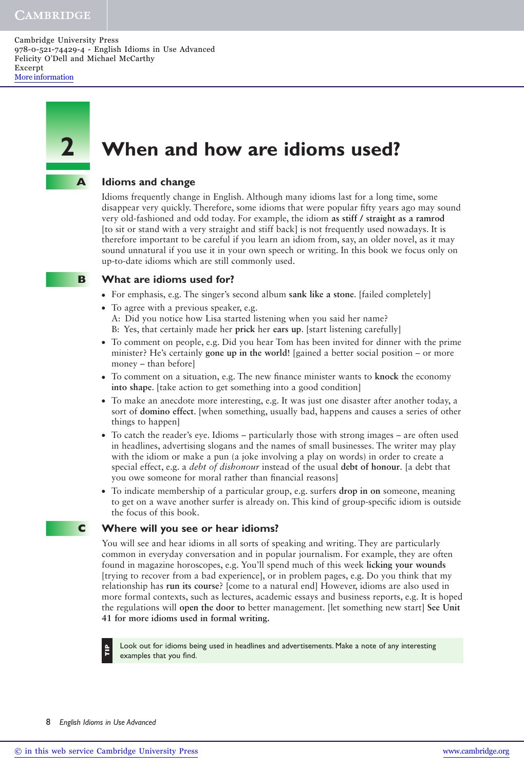Cambridge University Press 978-0-521-74429-4 - English Idioms in Use Advanced Felicity O'Dell and Michael McCarthy Excerpt

[More information](http://www.cambridge.org/9780521744294)

**A**

# **2 When and how are idioms used?**

# **Idioms and change**

Idioms frequently change in English. Although many idioms last for a long time, some disappear very quickly. Therefore, some idioms that were popular fifty years ago may sound very old-fashioned and odd today. For example, the idiom **as stiff / straight as a ramrod** [to sit or stand with a very straight and stiff back] is not frequently used nowadays. It is therefore important to be careful if you learn an idiom from, say, an older novel, as it may sound unnatural if you use it in your own speech or writing. In this book we focus only on up-to-date idioms which are still commonly used.

### **B What are idioms used for?**

- For emphasis, e.g. The singer's second album **sank like a stone**. [failed completely]
- To agree with a previous speaker, e.g. A: Did you notice how Lisa started listening when you said her name? B: Yes, that certainly made her **prick** her **ears up**. [start listening carefully]
- To comment on people, e.g. Did you hear Tom has been invited for dinner with the prime minister? He's certainly **gone up in the world**! [gained a better social position – or more money – than before]
- To comment on a situation, e.g. The new finance minister wants to **knock** the economy **into shape**. [take action to get something into a good condition]
- To make an anecdote more interesting, e.g. It was just one disaster after another today, a sort of **domino effect**. [when something, usually bad, happens and causes a series of other things to happen]
- To catch the reader's eye. Idioms particularly those with strong images are often used in headlines, advertising slogans and the names of small businesses. The writer may play with the idiom or make a pun (a joke involving a play on words) in order to create a special effect, e.g. a *debt of dishonour* instead of the usual **debt of honour**. [a debt that you owe someone for moral rather than financial reasons]
- To indicate membership of a particular group, e.g. surfers **drop in on** someone, meaning to get on a wave another surfer is already on. This kind of group-specific idiom is outside the focus of this book.

### **C Where will you see or hear idioms?**

You will see and hear idioms in all sorts of speaking and writing. They are particularly common in everyday conversation and in popular journalism. For example, they are often found in magazine horoscopes, e.g. You'll spend much of this week **licking your wounds** [trying to recover from a bad experience], or in problem pages, e.g. Do you think that my relationship has **run its course**? [come to a natural end] However, idioms are also used in more formal contexts, such as lectures, academic essays and business reports, e.g. It is hoped the regulations will **open the door to** better management. [let something new start] **See Unit 41 for more idioms used in formal writing.**

Look out for idioms being used in headlines and advertisements. Make a note of any interesting examples that you find.

8 *English Idioms in Use Advanced*

**TIP**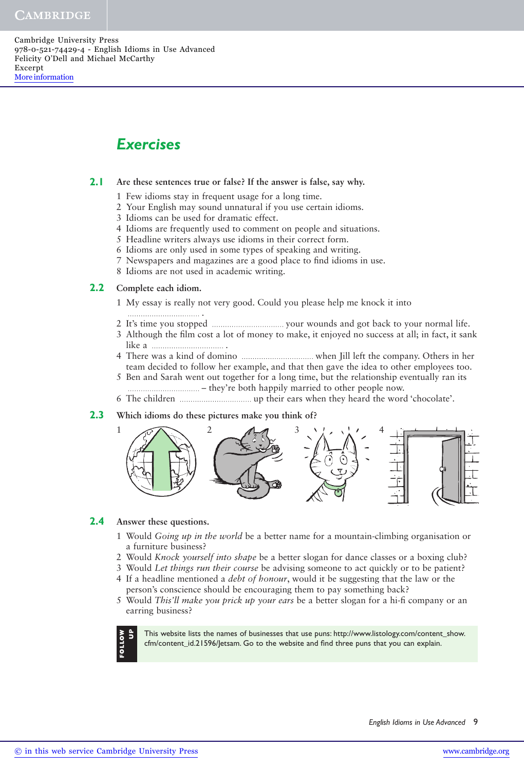# *Exercises*

- **2.1 Are these sentences true or false? If the answer is false, say why.** 
	- 1 Few idioms stay in frequent usage for a long time.
	- 2 Your English may sound unnatural if you use certain idioms.
	- 3 Idioms can be used for dramatic effect.
	- 4 Idioms are frequently used to comment on people and situations.
	- 5 Headline writers always use idioms in their correct form.
	- 6 Idioms are only used in some types of speaking and writing.
	- 7 Newspapers and magazines are a good place to find idioms in use.
	- 8 Idioms are not used in academic writing.

### **2.2 Complete each idiom.**

- 1 My essay is really not very good. Could you please help me knock it into
- .
- 2 It's time you stopped your wounds and got back to your normal life.
- 3 Although the film cost a lot of money to make, it enjoyed no success at all; in fact, it sank like a .
- 4 There was a kind of domino when Jill left the company. Others in her team decided to follow her example, and that then gave the idea to other employees too.
- 5 Ben and Sarah went out together for a long time, but the relationship eventually ran its – they're both happily married to other people now.
- 6 The children up their ears when they heard the word 'chocolate'.

### **2.3 Which idioms do these pictures make you think of?**



### **2.4 Answer these questions.**

- 1 Would *Going up in the world* be a better name for a mountain-climbing organisation or a furniture business?
- 2 Would *Knock yourself into shape* be a better slogan for dance classes or a boxing club?
- 3 Would *Let things run their course* be advising someone to act quickly or to be patient?
- 4 If a headline mentioned a *debt of honour*, would it be suggesting that the law or the person's conscience should be encouraging them to pay something back?
- 5 Would *This'll make you prick up your ears* be a better slogan for a hi-fi company or an earring business?



This website lists the names of businesses that use puns: http://www.listology.com/content\_show. cfm/content\_id.21596/Jetsam. Go to the website and find three puns that you can explain.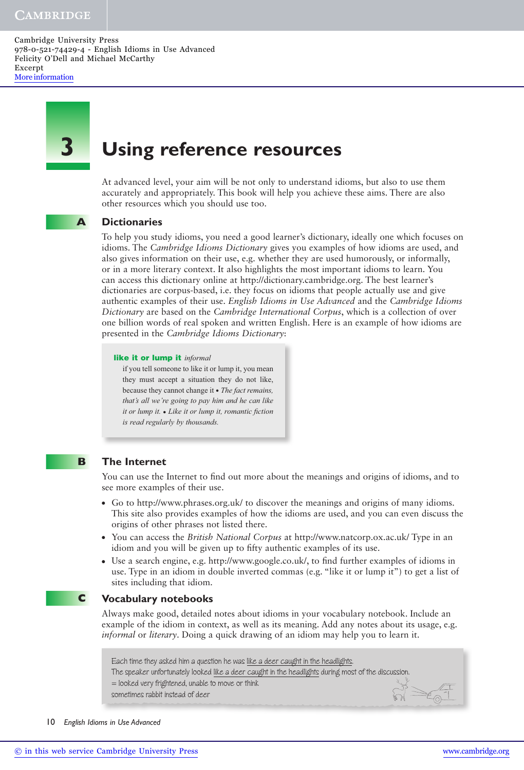Cambridge University Press 978-0-521-74429-4 - English Idioms in Use Advanced Felicity O'Dell and Michael McCarthy Excerpt

[More information](http://www.cambridge.org/9780521744294)

**A**

# **3 Using reference resources**

At advanced level, your aim will be not only to understand idioms, but also to use them accurately and appropriately. This book will help you achieve these aims. There are also other resources which you should use too.

### **Dictionaries**

To help you study idioms, you need a good learner's dictionary, ideally one which focuses on idioms. The *Cambridge Idioms Dictionary* gives you examples of how idioms are used, and also gives information on their use, e.g. whether they are used humorously, or informally, or in a more literary context. It also highlights the most important idioms to learn. You can access this dictionary online at http://dictionary.cambridge.org. The best learner's dictionaries are corpus-based, i.e. they focus on idioms that people actually use and give authentic examples of their use. *English Idioms in Use Advanced* and the *Cambridge Idioms Dictionary* are based on the *Cambridge International Corpus*, which is a collection of over one billion words of real spoken and written English. Here is an example of how idioms are presented in the *Cambridge Idioms Dictionary*:

### **like it or lump it** *informal*

if you tell someone to like it or lump it, you mean they must accept a situation they do not like, because they cannot change it • *The fact remains, that's all we're going to pay him and he can like it or lump it.* • Like it or lump it, romantic fiction *is read regularly by thousands.*

### **B The Internet**

You can use the Internet to find out more about the meanings and origins of idioms, and to see more examples of their use.

- Go to http://www.phrases.org.uk/ to discover the meanings and origins of many idioms. This site also provides examples of how the idioms are used, and you can even discuss the origins of other phrases not listed there.
- You can access the *British National Corpus* at http://www.natcorp.ox.ac.uk/ Type in an idiom and you will be given up to fifty authentic examples of its use.
- Use a search engine, e.g. http://www.google.co.uk/, to find further examples of idioms in use. Type in an idiom in double inverted commas (e.g. "like it or lump it") to get a list of sites including that idiom.

**C**

### **Vocabulary notebooks**

Always make good, detailed notes about idioms in your vocabulary notebook. Include an example of the idiom in context, as well as its meaning. Add any notes about its usage, e.g. *informal* or *literary*. Doing a quick drawing of an idiom may help you to learn it.

Each time they asked him a question he was like a deer caught in the headlights. The speaker unfortunately looked like a deer caught in the headlights during most of the discussion. = looked very frightened, unable to move or think sometimes rabbit instead of deer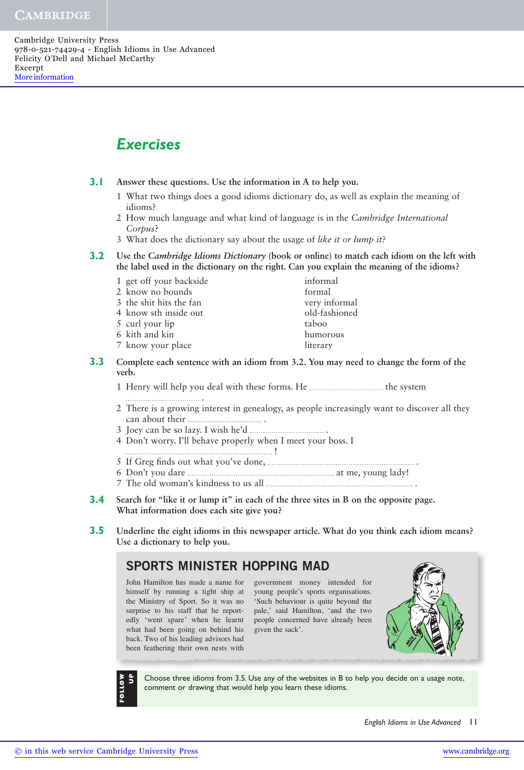# *Exercises*

- **3.1 Answer these questions. Use the information in A to help you.**
	- 1 What two things does a good idioms dictionary do, as well as explain the meaning of idioms?
	- 2 How much language and what kind of language is in the *Cambridge International Corpus*?
	- 3 What does the dictionary say about the usage of *like it or lump it*?
- **3.2 Use the** *Cambridge Idioms Dictionary* **(book or online) to match each idiom on the left with the label used in the dictionary on the right. Can you explain the meaning of the idioms?**

| 1 get off your backside | informal      |
|-------------------------|---------------|
| 2 know no bounds        | formal        |
| 3 the shit hits the fan | very informal |
| 4 know sth inside out   | old-fashioned |
| 5 curl your lip         | taboo         |
| 6 kith and kin          | humorous      |
| 7 know your place       | literary      |

- **3.3 Complete each sentence with an idiom from 3.2. You may need to change the form of the verb.**
	- 1 Henry will help you deal with these forms. He the system .
	- 2 There is a growing interest in genealogy, as people increasingly want to discover all they can about their .
	- 3 Joey can be so lazy. I wish he'd .
	- 4 Don't worry. I'll behave properly when I meet your boss. I
		- !
	- 5 If Greg fi nds out what you've done, . 6 Don't you dare at me, young lady!
	- 7 The old woman's kindness to us all .
- **3.4 Search for "like it or lump it" in each of the three sites in B on the opposite page. What information does each site give you?**
- **3.5 Underline the eight idioms in this newspaper article. What do you think each idiom means? Use a dictionary to help you.**

# **SPORTS MINISTER HOPPING MAD**

John Hamilton has made a name for himself by running a tight ship at the Ministry of Sport. So it was no surprise to his staff that he reportedly 'went spare' when he learnt what had been going on behind his back. Two of his leading advisors had been feathering their own nests with

government money intended for young people's sports organisations. 'Such behaviour is quite beyond the pale,' said Hamilton, 'and the two people concerned have already been given the sack'.



Choose three idioms from 3.5. Use any of the websites in B to help you decide on a usage note, comment or drawing that would help you learn these idioms.

*English Idioms in Use Advanced* 11

**FOLLOWUP**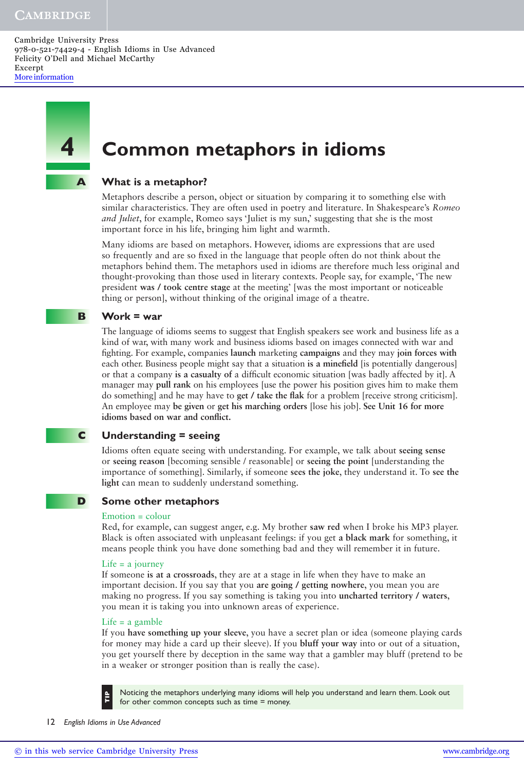Cambridge University Press 978-0-521-74429-4 - English Idioms in Use Advanced Felicity O'Dell and Michael McCarthy Excerpt

[More information](http://www.cambridge.org/9780521744294)

# **A**

# **4 Common metaphors in idioms**

# **What is a metaphor?**

Metaphors describe a person, object or situation by comparing it to something else with similar characteristics. They are often used in poetry and literature. In Shakespeare's *Romeo and Juliet*, for example, Romeo says 'Juliet is my sun,' suggesting that she is the most important force in his life, bringing him light and warmth.

Many idioms are based on metaphors. However, idioms are expressions that are used so frequently and are so fixed in the language that people often do not think about the metaphors behind them. The metaphors used in idioms are therefore much less original and thought-provoking than those used in literary contexts. People say, for example, 'The new president **was / took centre stage** at the meeting' [was the most important or noticeable thing or person], without thinking of the original image of a theatre.

### **Work = war B**

The language of idioms seems to suggest that English speakers see work and business life as a kind of war, with many work and business idioms based on images connected with war and fighting. For example, companies **launch** marketing **campaigns** and they may join forces with each other. Business people might say that a situation is a minefield [is potentially dangerous] or that a company is a casualty of a difficult economic situation [was badly affected by it]. A manager may **pull rank** on his employees [use the power his position gives him to make them do something] and he may have to get / take the flak for a problem [receive strong criticism]. An employee may **be given** or **get his marching orders** [lose his job]. **See Unit 16 for more**  idioms based on war and conflict.

### **C**

### **Understanding = seeing**

Idioms often equate seeing with understanding. For example, we talk about **seeing sense** or **seeing reason** [becoming sensible / reasonable] or **seeing the point** [understanding the importance of something]. Similarly, if someone **sees the joke**, they understand it. To **see the light** can mean to suddenly understand something.

### **Some other metaphors D**

### Emotion = colour

Red, for example, can suggest anger, e.g. My brother **saw red** when I broke his MP3 player. Black is often associated with unpleasant feelings: if you get **a black mark** for something, it means people think you have done something bad and they will remember it in future.

### Life  $= a$  journey

If someone **is at a crossroads**, they are at a stage in life when they have to make an important decision. If you say that you **are going / getting nowhere**, you mean you are making no progress. If you say something is taking you into **uncharted territory / waters**, you mean it is taking you into unknown areas of experience.

### Life  $=$  a gamble

If you **have something up your sleeve**, you have a secret plan or idea (someone playing cards for money may hide a card up their sleeve). If you **bluff your way** into or out of a situation, you get yourself there by deception in the same way that a gambler may bluff (pretend to be in a weaker or stronger position than is really the case).



Noticing the metaphors underlying many idioms will help you understand and learn them. Look out for other common concepts such as time = money.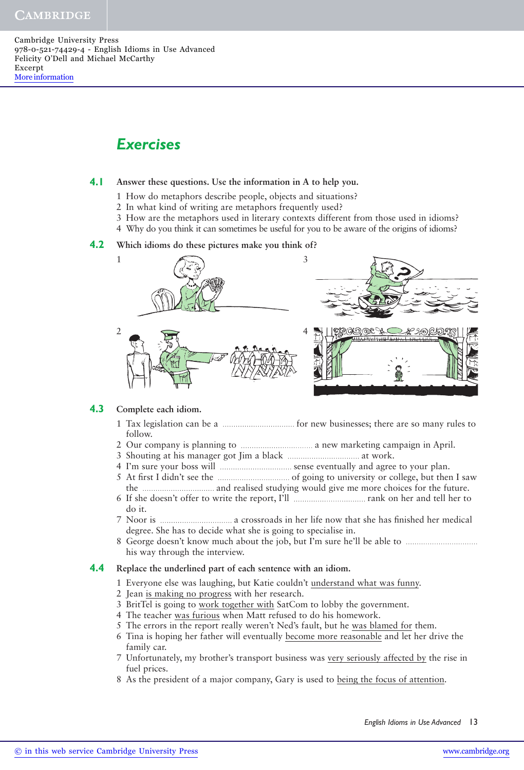# *Exercises*

### **4.1 Answer these questions. Use the information in A to help you.**

- 1 How do metaphors describe people, objects and situations?
- 2 In what kind of writing are metaphors frequently used?
- 3 How are the metaphors used in literary contexts different from those used in idioms?
- 4 Why do you think it can sometimes be useful for you to be aware of the origins of idioms?

### **4.2 Which idioms do these pictures make you think of?**



### **4.3 Complete each idiom.**

- 1 Tax legislation can be a *manumanomalist* or new businesses; there are so many rules to follow.
- 2 Our company is planning to *.............................*... a new marketing campaign in April.
- 3 Shouting at his manager got Jim a black ................................. at work.
- 4 I'm sure your boss will *maching sense eventually and agree to your plan.*
- 5 At first I didn't see the measurement of going to university or college, but then I saw the manufacture and realised studying would give me more choices for the future.
- 6 If she doesn't offer to write the report, I'll rank on her and tell her to do it.
- 7 Noor is a crossroads in her life now that she has fi nished her medical degree. She has to decide what she is going to specialise in.
- 8 George doesn't know much about the job, but I'm sure he'll be able to his way through the interview.

### **4.4 Replace the underlined part of each sentence with an idiom.**

- 1 Everyone else was laughing, but Katie couldn't understand what was funny.
- 2 Jean is making no progress with her research.
- 3 BritTel is going to work together with SatCom to lobby the government.
- 4 The teacher was furious when Matt refused to do his homework.
- 5 The errors in the report really weren't Ned's fault, but he was blamed for them.
- 6 Tina is hoping her father will eventually become more reasonable and let her drive the family car.
- 7 Unfortunately, my brother's transport business was very seriously affected by the rise in fuel prices.
- 8 As the president of a major company, Gary is used to being the focus of attention.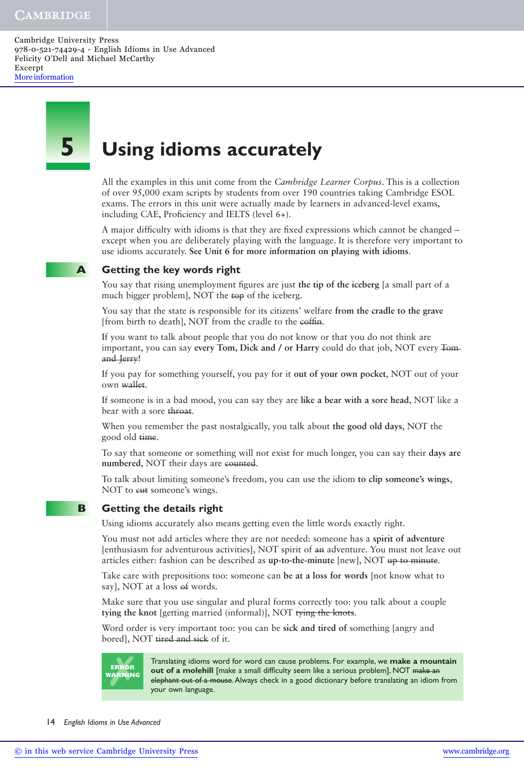Cambridge University Press 978-0-521-74429-4 - English Idioms in Use Advanced Felicity O'Dell and Michael McCarthy Excerpt

[More information](http://www.cambridge.org/9780521744294)

**A**

# **5 Using idioms accurately**

All the examples in this unit come from the *Cambridge Learner Corpus*. This is a collection of over 95,000 exam scripts by students from over 190 countries taking Cambridge ESOL exams. The errors in this unit were actually made by learners in advanced-level exams, including CAE, Proficiency and IELTS (level 6+).

A major difficulty with idioms is that they are fixed expressions which cannot be changed – except when you are deliberately playing with the language. It is therefore very important to use idioms accurately. **See Unit 6 for more information on playing with idioms**.

### **Getting the key words right**

You say that rising unemployment figures are just the tip of the iceberg [a small part of a much bigger problem], NOT the top of the iceberg.

You say that the state is responsible for its citizens' welfare **from the cradle to the grave** [from birth to death], NOT from the cradle to the coffin.

If you want to talk about people that you do not know or that you do not think are important, you can say **every Tom, Dick and / or Harry** could do that job, NOT every Tom and Jerry!

If you pay for something yourself, you pay for it **out of your own pocket**, NOT out of your own wallet.

If someone is in a bad mood, you can say they are **like a bear with a sore head**, NOT like a bear with a sore throat.

When you remember the past nostalgically, you talk about **the good old days**, NOT the good old time.

To say that someone or something will not exist for much longer, you can say their **days are numbered**, NOT their days are counted.

To talk about limiting someone's freedom, you can use the idiom **to clip someone's wings**, NOT to eut someone's wings.

### **Getting the details right B**

Using idioms accurately also means getting even the little words exactly right.

You must not add articles where they are not needed: someone has a **spirit of adventure** [enthusiasm for adventurous activities], NOT spirit of an adventure. You must not leave out articles either: fashion can be described as **up-to-the-minute** [new], NOT up to minute.

Take care with prepositions too: someone can **be at a loss for words** [not know what to say], NOT at a loss of words.

Make sure that you use singular and plural forms correctly too: you talk about a couple **tying the knot** [getting married (informal)], NOT tying the knots.

Word order is very important too: you can be **sick and tired of** something [angry and bored], NOT tired and sick of it.



Translating idioms word for word can cause problems. For example, we **make a mountain**  out of a molehill [make a small difficulty seem like a serious problem], NOT make an Translating idioms word for word can cause problems. For example, we **make a mountain**<br> **ERROR**<br> **ERROR**<br> **ERROR**<br> **ERROR**<br> **ERROR**<br> **ERROR**<br> **ERROR**<br> **ERROR**<br> **ERROR**<br> **ERROR**<br> **ERROR**<br> **ERROR**<br> **ERROR**<br> **ERROR**<br> **ERROR**<br> your own language.